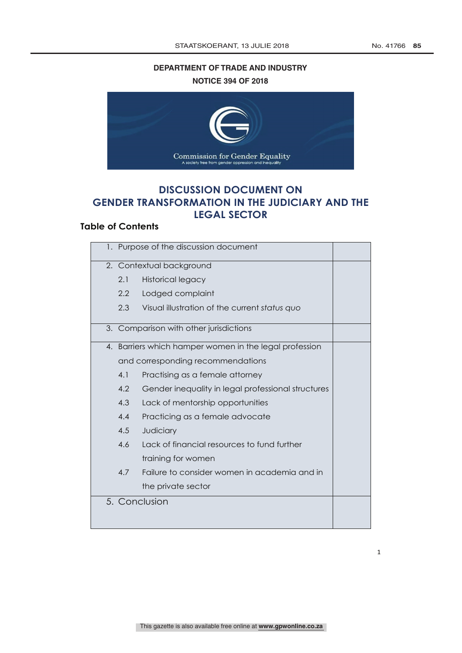## **DEPARTMENT OF TRADE AND INDUSTRY NOTICE 394 OF 2018**



# **DISCUSSION DOCUMENT ON GENDER TRANSFORMATION IN THE JUDICIARY AND THE LEGAL SECTOR**

## **Table of Contents**

| 1. Purpose of the discussion document |                                                                                             |                                                    |  |
|---------------------------------------|---------------------------------------------------------------------------------------------|----------------------------------------------------|--|
|                                       | 2. Contextual background                                                                    |                                                    |  |
|                                       | 2.1                                                                                         | <b>Historical legacy</b>                           |  |
|                                       | 2.2                                                                                         | Lodged complaint                                   |  |
|                                       | 2.3                                                                                         | Visual illustration of the current status quo      |  |
|                                       |                                                                                             | 3. Comparison with other jurisdictions             |  |
|                                       | 4. Barriers which hamper women in the legal profession<br>and corresponding recommendations |                                                    |  |
|                                       |                                                                                             |                                                    |  |
|                                       | 4.1                                                                                         | Practising as a female attorney                    |  |
|                                       | 4.2                                                                                         | Gender inequality in legal professional structures |  |
|                                       | 4.3                                                                                         | Lack of mentorship opportunities                   |  |
|                                       | 4.4                                                                                         | Practicing as a female advocate                    |  |
|                                       | 4.5                                                                                         | Judiciary                                          |  |
|                                       | 4.6                                                                                         | Lack of financial resources to fund further        |  |
|                                       |                                                                                             | training for women                                 |  |
|                                       | 4.7                                                                                         | Failure to consider women in academia and in       |  |
|                                       |                                                                                             | the private sector                                 |  |
| 5. Conclusion                         |                                                                                             |                                                    |  |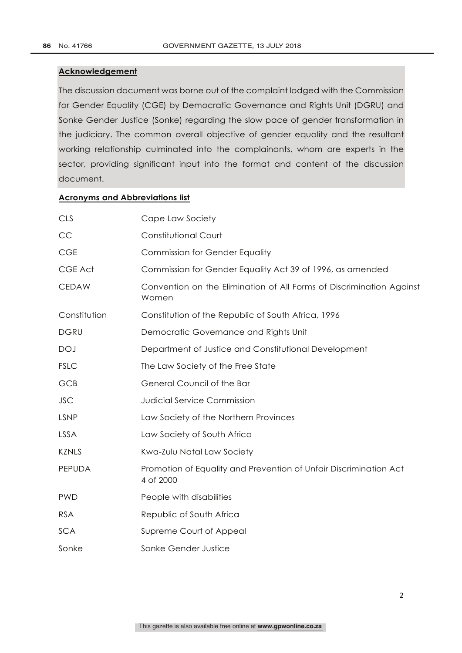#### **Acknowledgement**

The discussion document was borne out of the complaint lodged with the Commission for Gender Equality (CGE) by Democratic Governance and Rights Unit (DGRU) and Sonke Gender Justice (Sonke) regarding the slow pace of gender transformation in the judiciary. The common overall objective of gender equality and the resultant working relationship culminated into the complainants, whom are experts in the sector, providing significant input into the format and content of the discussion document.

#### **Acronyms and Abbreviations list**

| <b>CLS</b>    | Cape Law Society                                                               |  |
|---------------|--------------------------------------------------------------------------------|--|
| CC            | <b>Constitutional Court</b>                                                    |  |
| <b>CGE</b>    | <b>Commission for Gender Equality</b>                                          |  |
| CGE Act       | Commission for Gender Equality Act 39 of 1996, as amended                      |  |
| <b>CEDAW</b>  | Convention on the Elimination of All Forms of Discrimination Against<br>Women  |  |
| Constitution  | Constitution of the Republic of South Africa, 1996                             |  |
| <b>DGRU</b>   | Democratic Governance and Rights Unit                                          |  |
| <b>DOJ</b>    | Department of Justice and Constitutional Development                           |  |
| <b>FSLC</b>   | The Law Society of the Free State                                              |  |
| GCB           | General Council of the Bar                                                     |  |
| <b>JSC</b>    | <b>Judicial Service Commission</b>                                             |  |
| <b>LSNP</b>   | Law Society of the Northern Provinces                                          |  |
| <b>LSSA</b>   | Law Society of South Africa                                                    |  |
| <b>KZNLS</b>  | Kwa-Zulu Natal Law Society                                                     |  |
| <b>PEPUDA</b> | Promotion of Equality and Prevention of Unfair Discrimination Act<br>4 of 2000 |  |
| <b>PWD</b>    | People with disabilities                                                       |  |
| <b>RSA</b>    | Republic of South Africa                                                       |  |
| <b>SCA</b>    | Supreme Court of Appeal                                                        |  |
| Sonke         | Sonke Gender Justice                                                           |  |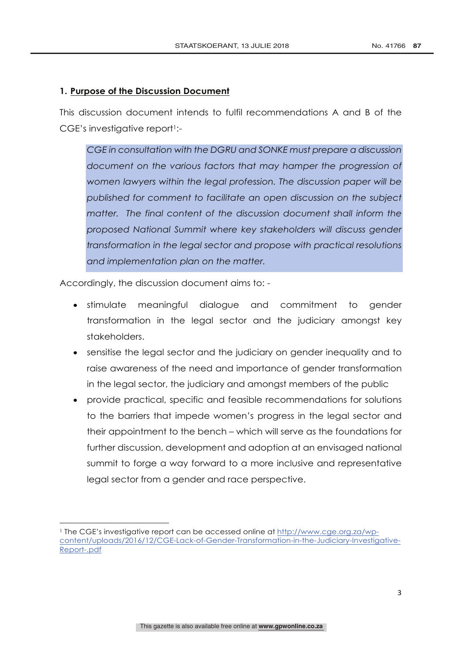### **1. Purpose of the Discussion Document**

This discussion document intends to fulfil recommendations A and B of the CGE's investigative report1:-

*CGE in consultation with the DGRU and SONKE must prepare a discussion document on the various factors that may hamper the progression of women lawyers within the legal profession. The discussion paper will be published for comment to facilitate an open discussion on the subject matter. The final content of the discussion document shall inform the proposed National Summit where key stakeholders will discuss gender transformation in the legal sector and propose with practical resolutions and implementation plan on the matter.*

Accordingly, the discussion document aims to: -

 

- stimulate meaningful dialogue and commitment to gender transformation in the legal sector and the judiciary amongst key stakeholders.
- sensitise the legal sector and the judiciary on gender inequality and to raise awareness of the need and importance of gender transformation in the legal sector, the judiciary and amongst members of the public
- provide practical, specific and feasible recommendations for solutions to the barriers that impede women's progress in the legal sector and their appointment to the bench – which will serve as the foundations for further discussion, development and adoption at an envisaged national summit to forge a way forward to a more inclusive and representative legal sector from a gender and race perspective.

<sup>&</sup>lt;sup>1</sup> The CGE's investigative report can be accessed online at http://www.cge.org.za/wpcontent/uploads/2016/12/CGE-Lack-of-Gender-Transformation-in-the-Judiciary-Investigative-Report-.pdf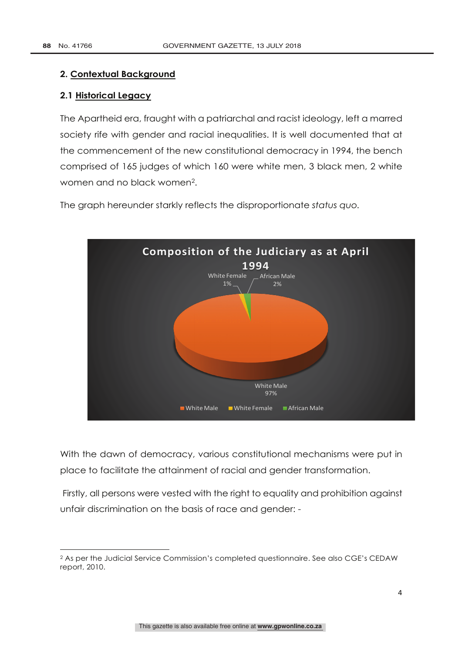#### **2. Contextual Background**

 

#### **2.1 Historical Legacy**

The Apartheid era, fraught with a patriarchal and racist ideology, left a marred society rife with gender and racial inequalities. It is well documented that at the commencement of the new constitutional democracy in 1994, the bench comprised of 165 judges of which 160 were white men, 3 black men, 2 white women and no black women2.

The graph hereunder starkly reflects the disproportionate *status quo.* 



With the dawn of democracy, various constitutional mechanisms were put in place to facilitate the attainment of racial and gender transformation.

Firstly, all persons were vested with the right to equality and prohibition against unfair discrimination on the basis of race and gender: -

<sup>2</sup> As per the Judicial Service Commission's completed questionnaire. See also CGE's CEDAW report, 2010.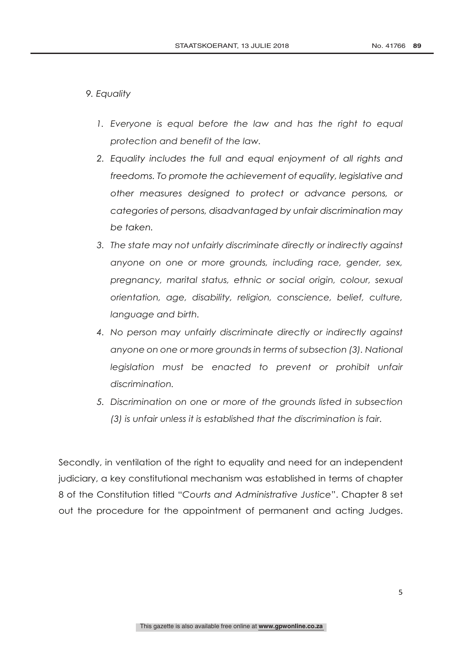### *9. Equality*

- 1. Everyone is equal before the law and has the right to equal *protection and benefit of the law.*
- *2. Equality includes the full and equal enjoyment of all rights and freedoms. To promote the achievement of equality, legislative and other measures designed to protect or advance persons, or categories of persons, disadvantaged by unfair discrimination may be taken.*
- *3. The state may not unfairly discriminate directly or indirectly against anyone on one or more grounds, including race, gender, sex, pregnancy, marital status, ethnic or social origin, colour, sexual orientation, age, disability, religion, conscience, belief, culture, language and birth.*
- *4. No person may unfairly discriminate directly or indirectly against anyone on one or more grounds in terms of subsection (3). National legislation must be enacted to prevent or prohibit unfair discrimination.*
- *5. Discrimination on one or more of the grounds listed in subsection (3) is unfair unless it is established that the discrimination is fair.*

Secondly, in ventilation of the right to equality and need for an independent judiciary, a key constitutional mechanism was established in terms of chapter 8 of the Constitution titled "*Courts and Administrative Justice*". Chapter 8 set out the procedure for the appointment of permanent and acting Judges.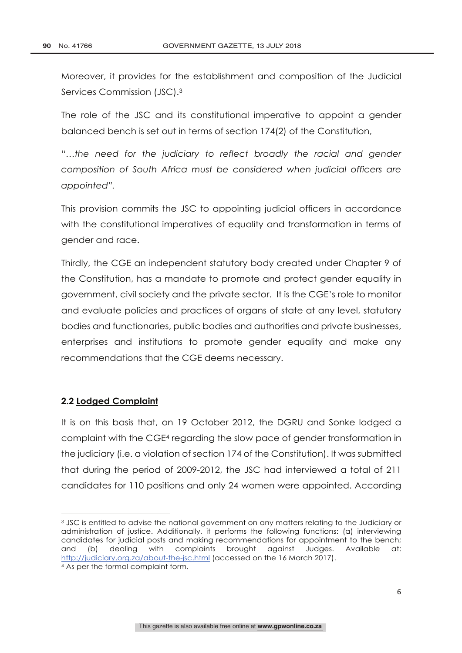Moreover, it provides for the establishment and composition of the Judicial Services Commission (JSC).3

The role of the JSC and its constitutional imperative to appoint a gender balanced bench is set out in terms of section 174(2) of the Constitution,

"*…the need for the judiciary to reflect broadly the racial and gender composition of South Africa must be considered when judicial officers are appointed".*

This provision commits the JSC to appointing judicial officers in accordance with the constitutional imperatives of equality and transformation in terms of gender and race.

Thirdly, the CGE an independent statutory body created under Chapter 9 of the Constitution, has a mandate to promote and protect gender equality in government, civil society and the private sector. It is the CGE's role to monitor and evaluate policies and practices of organs of state at any level, statutory bodies and functionaries, public bodies and authorities and private businesses, enterprises and institutions to promote gender equality and make any recommendations that the CGE deems necessary.

#### **2.2 Lodged Complaint**

<u> 1989 - Johann Barn, mars eta bainar eta industrial eta industrial eta industrial eta industrial eta industria</u>

It is on this basis that, on 19 October 2012, the DGRU and Sonke lodged a complaint with the CGE4 regarding the slow pace of gender transformation in the judiciary (i.e. a violation of section 174 of the Constitution). It was submitted that during the period of 2009-2012, the JSC had interviewed a total of 211 candidates for 110 positions and only 24 women were appointed. According

*<sup>3</sup>* JSC is entitled to advise the national government on any matters relating to the Judiciary or administration of justice. Additionally, it performs the following functions: (a) interviewing candidates for judicial posts and making recommendations for appointment to the bench; and (b) dealing with complaints brought against Judges. Available at: http://judiciary.org.za/about-the-jsc.html (accessed on the 16 March 2017).  $4\overline{As}$  per the formal complaint form.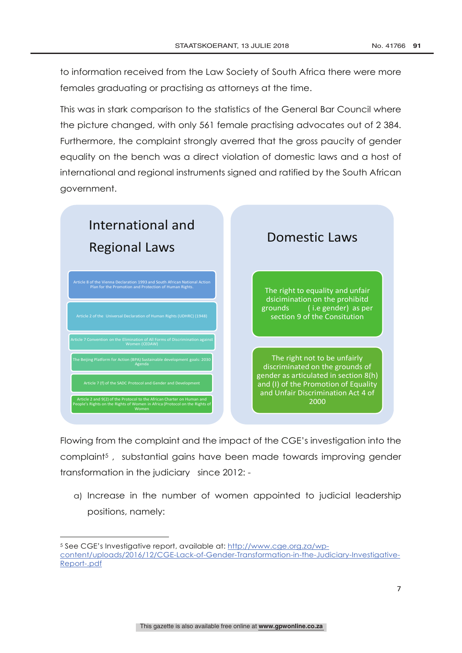to information received from the Law Society of South Africa there were more females graduating or practising as attorneys at the time.

This was in stark comparison to the statistics of the General Bar Council where the picture changed, with only 561 female practising advocates out of 2 384. Furthermore, the complaint strongly averred that the gross paucity of gender equality on the bench was a direct violation of domestic laws and a host of international and regional instruments signed and ratified by the South African government.



Flowing from the complaint and the impact of the CGE's investigation into the complaint5 , substantial gains have been made towards improving gender transformation in the judiciary since 2012: -

a) Increase in the number of women appointed to judicial leadership positions, namely:

 <sup>5</sup> See CGE's Investigative report, available at: http://www.cge.org.za/wpcontent/uploads/2016/12/CGE-Lack-of-Gender-Transformation-in-the-Judiciary-Investigative-Report-.pdf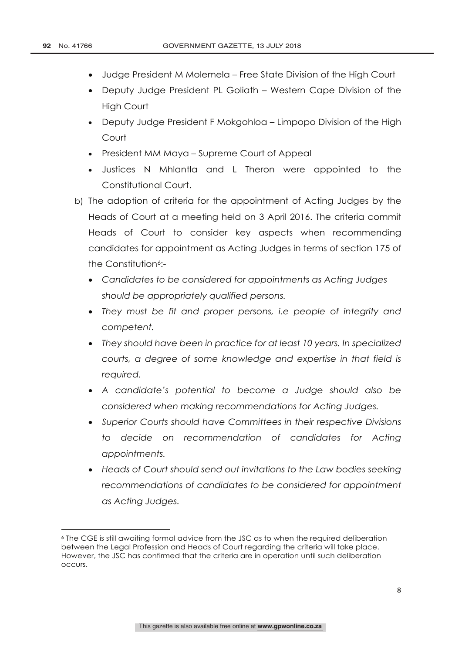- Judge President M Molemela Free State Division of the High Court
- Deputy Judge President PL Goliath Western Cape Division of the High Court
- Deputy Judge President F Mokgohloa Limpopo Division of the High Court
- President MM Maya Supreme Court of Appeal
- Justices N Mhlantla and L Theron were appointed to the Constitutional Court.
- b) The adoption of criteria for the appointment of Acting Judges by the Heads of Court at a meeting held on 3 April 2016. The criteria commit Heads of Court to consider key aspects when recommending candidates for appointment as Acting Judges in terms of section 175 of the Constitution<sup>6</sup>-
	- *Candidates to be considered for appointments as Acting Judges should be appropriately qualified persons.*
	- *They must be fit and proper persons, i.e people of integrity and competent.*
	- *They should have been in practice for at least 10 years. In specialized courts, a degree of some knowledge and expertise in that field is required.*
	- *A candidate's potential to become a Judge should also be considered when making recommendations for Acting Judges.*
	- *Superior Courts should have Committees in their respective Divisions to decide on recommendation of candidates for Acting appointments.*
	- *Heads of Court should send out invitations to the Law bodies seeking recommendations of candidates to be considered for appointment as Acting Judges.*

<u> 1989 - Johann Barn, mars eta bainar eta industrial eta industrial eta industrial eta industrial eta industria</u>

<sup>6</sup> The CGE is still awaiting formal advice from the JSC as to when the required deliberation between the Legal Profession and Heads of Court regarding the criteria will take place. However, the JSC has confirmed that the criteria are in operation until such deliberation occurs.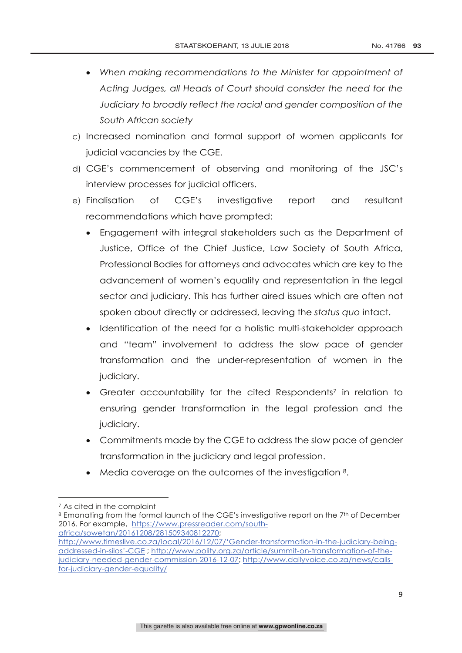- *When making recommendations to the Minister for appointment of Acting Judges, all Heads of Court should consider the need for the Judiciary to broadly reflect the racial and gender composition of the South African society*
- c) Increased nomination and formal support of women applicants for judicial vacancies by the CGE.
- d) CGE's commencement of observing and monitoring of the JSC's interview processes for judicial officers.
- e) Finalisation of CGE's investigative report and resultant recommendations which have prompted:
	- Engagement with integral stakeholders such as the Department of Justice, Office of the Chief Justice, Law Society of South Africa, Professional Bodies for attorneys and advocates which are key to the advancement of women's equality and representation in the legal sector and judiciary. This has further aired issues which are often not spoken about directly or addressed, leaving the *status quo* intact.
	- Identification of the need for a holistic multi-stakeholder approach and "team" involvement to address the slow pace of gender transformation and the under-representation of women in the judiciary.
	- Greater accountability for the cited Respondents<sup>7</sup> in relation to ensuring gender transformation in the legal profession and the judiciary.
	- Commitments made by the CGE to address the slow pace of gender transformation in the judiciary and legal profession.
	- Media coverage on the outcomes of the investigation 8.

<sup>&</sup>lt;u> 1989 - Johann Barn, mars ann an t-Amhain an t-Amhain an t-Amhain an t-Amhain an t-Amhain an t-Amhain an t-Amh</u> <sup>7</sup> As cited in the complaint

<sup>8</sup> Emanating from the formal launch of the CGE's investigative report on the 7<sup>th</sup> of December 2016. For example, https://www.pressreader.com/south-

africa/sowetan/20161208/281509340812270; http://www.timeslive.co.za/local/2016/12/07/'Gender-transformation-in-the-judiciary-beingaddressed-in-silos'-CGE ; http://www.polity.org.za/article/summit-on-transformation-of-thejudiciary-needed-gender-commission-2016-12-07; http://www.dailyvoice.co.za/news/callsfor-judiciary-gender-equality/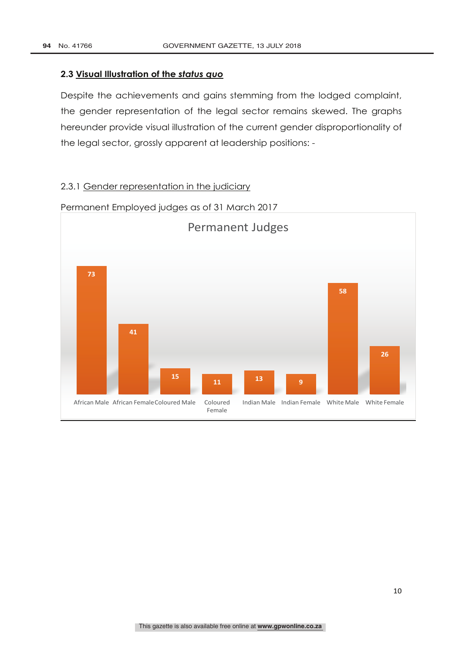#### **2.3 Visual Illustration of the** *status quo*

Despite the achievements and gains stemming from the lodged complaint, the gender representation of the legal sector remains skewed. The graphs hereunder provide visual illustration of the current gender disproportionality of the legal sector, grossly apparent at leadership positions: -

## 2.3.1 Gender representation in the judiciary



Permanent Employed judges as of 31 March 2017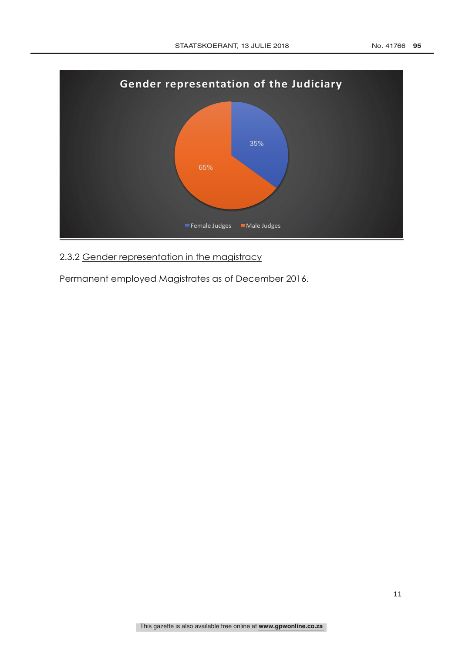

2.3.2 Gender representation in the magistracy

Permanent employed Magistrates as of December 2016.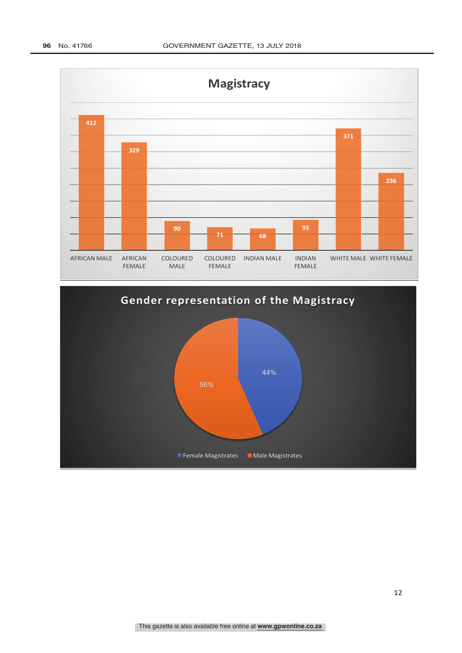

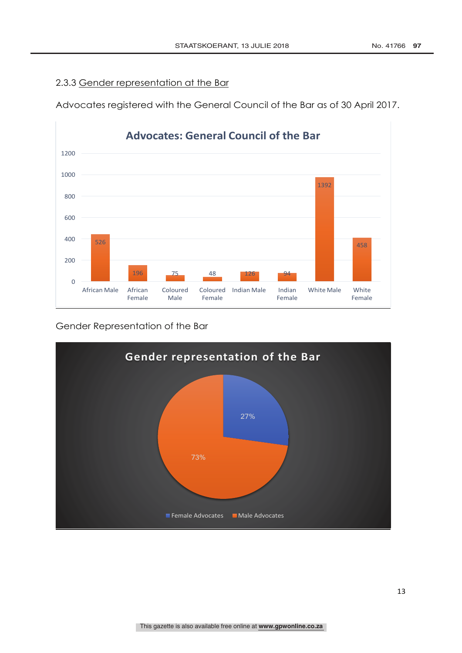## 2.3.3 Gender representation at the Bar

Advocates registered with the General Council of the Bar as of 30 April 2017.



Gender Representation of the Bar

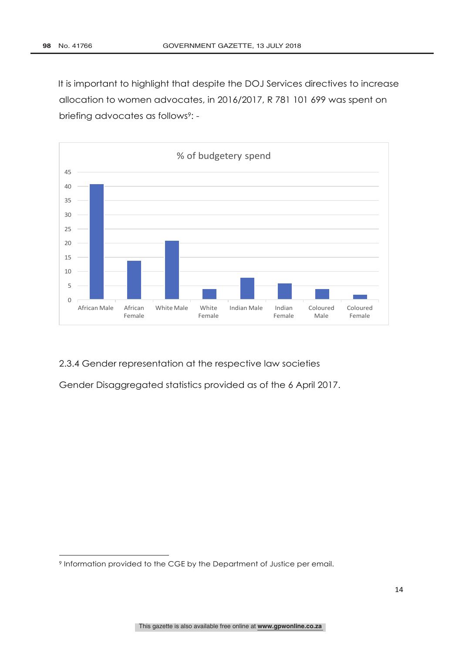It is important to highlight that despite the DOJ Services directives to increase allocation to women advocates, in 2016/2017, R 781 101 699 was spent on briefing advocates as follows<sup>9</sup>: -



2.3.4 Gender representation at the respective law societies

Gender Disaggregated statistics provided as of the 6 April 2017.

<u> 1989 - Johann Barn, mars ann an t-Amhain an t-Amhain an t-Amhain an t-Amhain an t-Amhain an t-Amhain an t-Amh</u>

<sup>9</sup> Information provided to the CGE by the Department of Justice per email.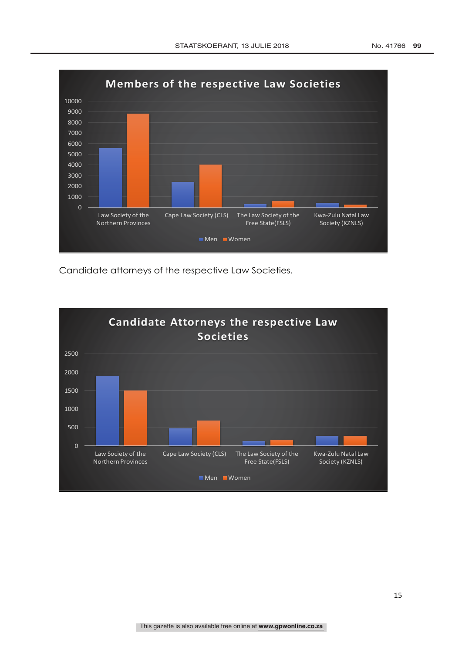

Candidate attorneys of the respective Law Societies.

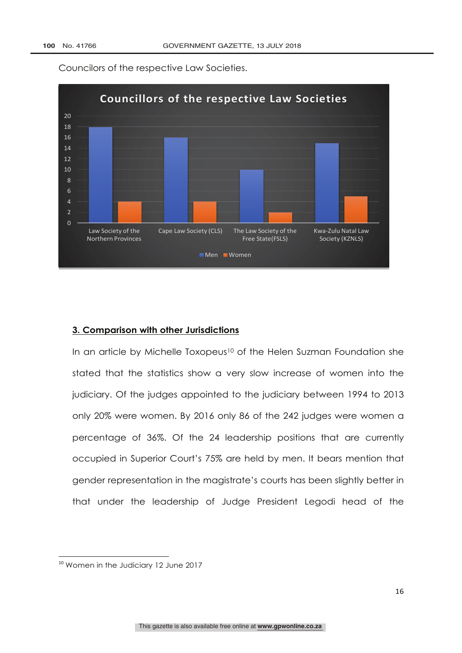

Councilors of the respective Law Societies.

#### **3. Comparison with other Jurisdictions**

In an article by Michelle Toxopeus<sup>10</sup> of the Helen Suzman Foundation she stated that the statistics show a very slow increase of women into the judiciary. Of the judges appointed to the judiciary between 1994 to 2013 only 20% were women. By 2016 only 86 of the 242 judges were women a percentage of 36%. Of the 24 leadership positions that are currently occupied in Superior Court's 75% are held by men. It bears mention that gender representation in the magistrate's courts has been slightly better in that under the leadership of Judge President Legodi head of the

 

<sup>&</sup>lt;sup>10</sup> Women in the Judiciary 12 June 2017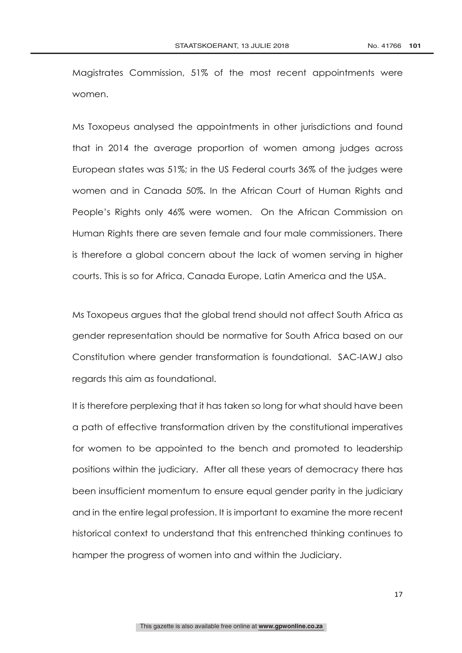Magistrates Commission, 51% of the most recent appointments were women.

Ms Toxopeus analysed the appointments in other jurisdictions and found that in 2014 the average proportion of women among judges across European states was 51%; in the US Federal courts 36% of the judges were women and in Canada 50%. In the African Court of Human Rights and People's Rights only 46% were women. On the African Commission on Human Rights there are seven female and four male commissioners. There is therefore a global concern about the lack of women serving in higher courts. This is so for Africa, Canada Europe, Latin America and the USA.

Ms Toxopeus argues that the global trend should not affect South Africa as gender representation should be normative for South Africa based on our Constitution where gender transformation is foundational. SAC-IAWJ also regards this aim as foundational.

It is therefore perplexing that it has taken so long for what should have been a path of effective transformation driven by the constitutional imperatives for women to be appointed to the bench and promoted to leadership positions within the judiciary. After all these years of democracy there has been insufficient momentum to ensure equal gender parity in the judiciary and in the entire legal profession. It is important to examine the more recent historical context to understand that this entrenched thinking continues to hamper the progress of women into and within the Judiciary.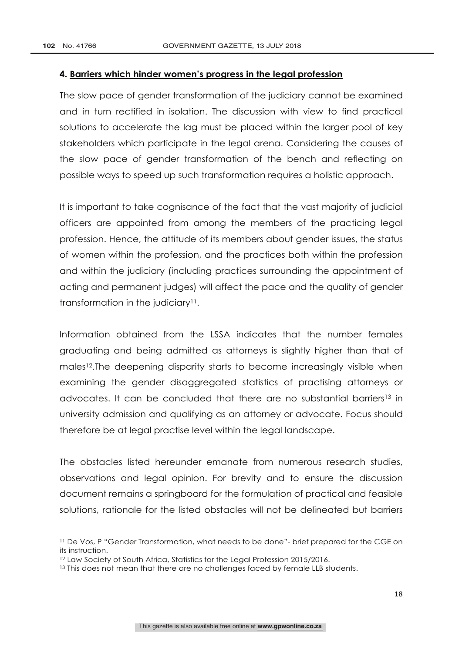#### **4. Barriers which hinder women's progress in the legal profession**

The slow pace of gender transformation of the judiciary cannot be examined and in turn rectified in isolation. The discussion with view to find practical solutions to accelerate the lag must be placed within the larger pool of key stakeholders which participate in the legal arena. Considering the causes of the slow pace of gender transformation of the bench and reflecting on possible ways to speed up such transformation requires a holistic approach.

It is important to take cognisance of the fact that the vast majority of judicial officers are appointed from among the members of the practicing legal profession. Hence, the attitude of its members about gender issues, the status of women within the profession, and the practices both within the profession and within the judiciary (including practices surrounding the appointment of acting and permanent judges) will affect the pace and the quality of gender transformation in the judiciary11.

Information obtained from the LSSA indicates that the number females graduating and being admitted as attorneys is slightly higher than that of males<sup>12</sup>. The deepening disparity starts to become increasingly visible when examining the gender disaggregated statistics of practising attorneys or advocates. It can be concluded that there are no substantial barriers13 in university admission and qualifying as an attorney or advocate. Focus should therefore be at legal practise level within the legal landscape.

The obstacles listed hereunder emanate from numerous research studies, observations and legal opinion. For brevity and to ensure the discussion document remains a springboard for the formulation of practical and feasible solutions, rationale for the listed obstacles will not be delineated but barriers

 

<sup>11</sup> De Vos, P "Gender Transformation, what needs to be done"- brief prepared for the CGE on its instruction.

<sup>12</sup> Law Society of South Africa, Statistics for the Legal Profession 2015/2016.

<sup>&</sup>lt;sup>13</sup> This does not mean that there are no challenges faced by female LLB students.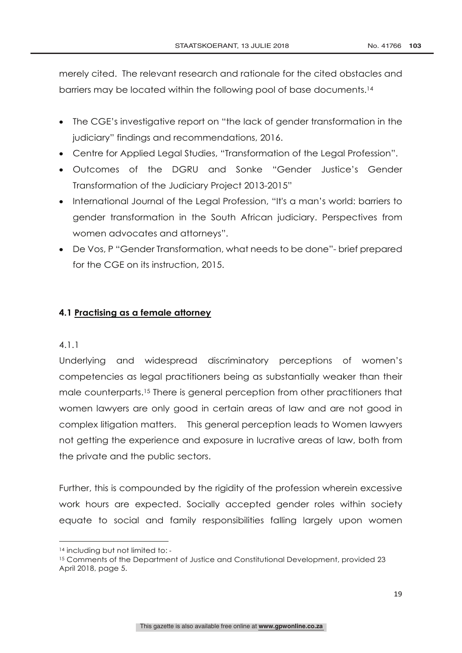merely cited. The relevant research and rationale for the cited obstacles and barriers may be located within the following pool of base documents.14

- The CGE's investigative report on "the lack of gender transformation in the judiciary" findings and recommendations, 2016.
- Centre for Applied Legal Studies, "Transformation of the Legal Profession".
- Outcomes of the DGRU and Sonke "Gender Justice's Gender Transformation of the Judiciary Project 2013-2015"
- International Journal of the Legal Profession, "It's a man's world: barriers to gender transformation in the South African judiciary. Perspectives from women advocates and attorneys".
- De Vos, P "Gender Transformation, what needs to be done"- brief prepared for the CGE on its instruction, 2015.

## **4.1 Practising as a female attorney**

#### 4.1.1

Underlying and widespread discriminatory perceptions of women's competencies as legal practitioners being as substantially weaker than their male counterparts.15 There is general perception from other practitioners that women lawyers are only good in certain areas of law and are not good in complex litigation matters. This general perception leads to Women lawyers not getting the experience and exposure in lucrative areas of law, both from the private and the public sectors.

Further, this is compounded by the rigidity of the profession wherein excessive work hours are expected. Socially accepted gender roles within society equate to social and family responsibilities falling largely upon women

 14 including but not limited to: -

<sup>&</sup>lt;sup>15</sup> Comments of the Department of Justice and Constitutional Development, provided 23 April 2018, page 5.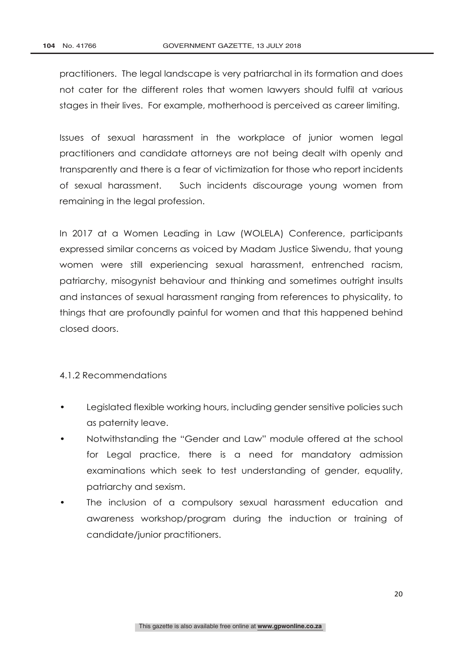practitioners. The legal landscape is very patriarchal in its formation and does not cater for the different roles that women lawyers should fulfil at various stages in their lives. For example, motherhood is perceived as career limiting.

Issues of sexual harassment in the workplace of junior women legal practitioners and candidate attorneys are not being dealt with openly and transparently and there is a fear of victimization for those who report incidents of sexual harassment. Such incidents discourage young women from remaining in the legal profession.

In 2017 at a Women Leading in Law (WOLELA) Conference, participants expressed similar concerns as voiced by Madam Justice Siwendu, that young women were still experiencing sexual harassment, entrenched racism, patriarchy, misogynist behaviour and thinking and sometimes outright insults and instances of sexual harassment ranging from references to physicality, to things that are profoundly painful for women and that this happened behind closed doors.

#### 4.1.2 Recommendations

- Legislated flexible working hours, including gender sensitive policies such as paternity leave.
- Notwithstanding the "Gender and Law" module offered at the school for Legal practice, there is a need for mandatory admission examinations which seek to test understanding of gender, equality, patriarchy and sexism.
- The inclusion of a compulsory sexual harassment education and awareness workshop/program during the induction or training of candidate/junior practitioners.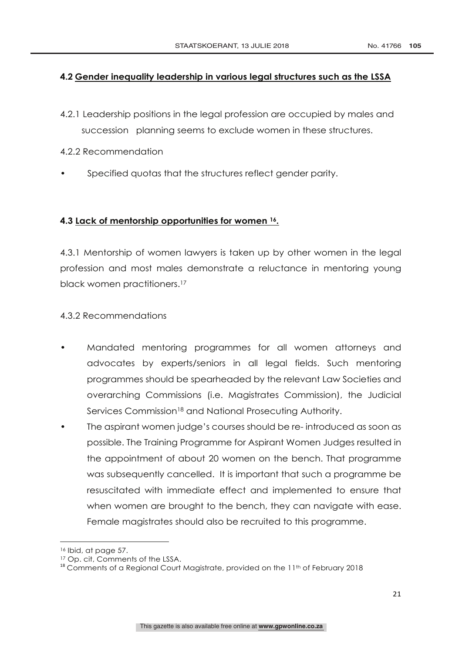#### **4.2 Gender inequality leadership in various legal structures such as the LSSA**

- 4.2.1 Leadership positions in the legal profession are occupied by males and succession planning seems to exclude women in these structures.
- 4.2.2 Recommendation
- Specified quotas that the structures reflect gender parity.

## **4.3 Lack of mentorship opportunities for women 16.**

4.3.1 Mentorship of women lawyers is taken up by other women in the legal profession and most males demonstrate a reluctance in mentoring young black women practitioners.<sup>17</sup>

## 4.3.2 Recommendations

- Mandated mentoring programmes for all women attorneys and advocates by experts/seniors in all legal fields. Such mentoring programmes should be spearheaded by the relevant Law Societies and overarching Commissions (i.e. Magistrates Commission), the Judicial Services Commission<sup>18</sup> and National Prosecuting Authority.
- The aspirant women judge's courses should be re- introduced as soon as possible. The Training Programme for Aspirant Women Judges resulted in the appointment of about 20 women on the bench. That programme was subsequently cancelled. It is important that such a programme be resuscitated with immediate effect and implemented to ensure that when women are brought to the bench, they can navigate with ease. Female magistrates should also be recruited to this programme.

 

<sup>16</sup> Ibid, at page 57.

<sup>&</sup>lt;sup>17</sup> Op. cit, Comments of the LSSA.<br><sup>18</sup> Comments of a Regional Court Magistrate, provided on the 11<sup>th</sup> of February 2018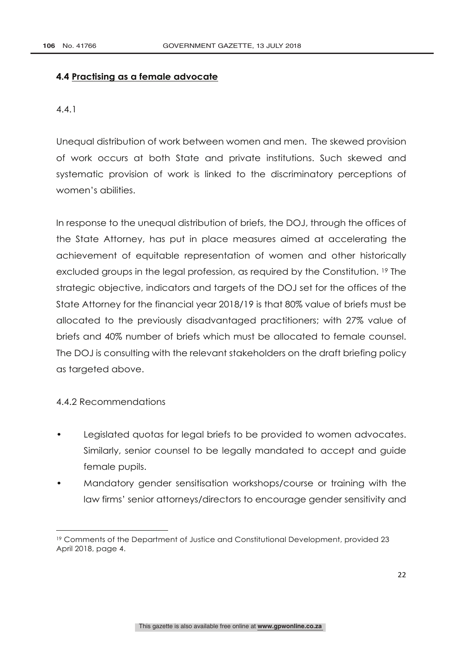#### **4.4 Practising as a female advocate**

4.4.1

Unequal distribution of work between women and men. The skewed provision of work occurs at both State and private institutions. Such skewed and systematic provision of work is linked to the discriminatory perceptions of women's abilities.

In response to the unequal distribution of briefs, the DOJ, through the offices of the State Attorney, has put in place measures aimed at accelerating the achievement of equitable representation of women and other historically excluded groups in the legal profession, as required by the Constitution. 19 The strategic objective, indicators and targets of the DOJ set for the offices of the State Attorney for the financial year 2018/19 is that 80% value of briefs must be allocated to the previously disadvantaged practitioners; with 27% value of briefs and 40% number of briefs which must be allocated to female counsel. The DOJ is consulting with the relevant stakeholders on the draft briefing policy as targeted above.

#### 4.4.2 Recommendations

<u> Andrew Maria (1989)</u>

- Legislated quotas for legal briefs to be provided to women advocates. Similarly, senior counsel to be legally mandated to accept and guide female pupils.
- Mandatory gender sensitisation workshops/course or training with the law firms' senior attorneys/directors to encourage gender sensitivity and

<sup>19</sup> Comments of the Department of Justice and Constitutional Development, provided 23 April 2018, page 4.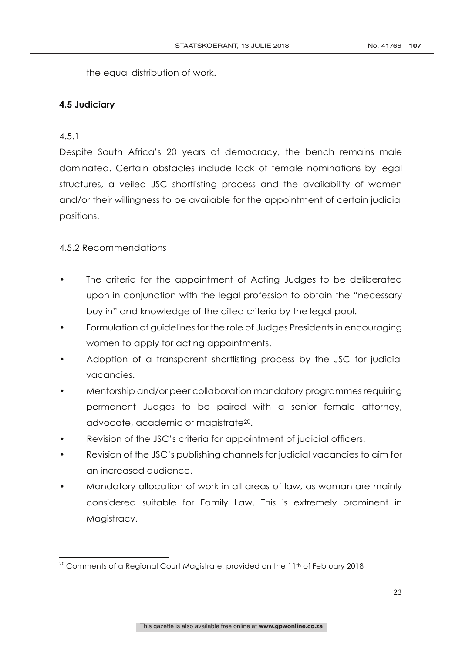the equal distribution of work.

#### **4.5 Judiciary**

## 4.5.1

Despite South Africa's 20 years of democracy, the bench remains male dominated. Certain obstacles include lack of female nominations by legal structures, a veiled JSC shortlisting process and the availability of women and/or their willingness to be available for the appointment of certain judicial positions.

## 4.5.2 Recommendations

- The criteria for the appointment of Acting Judges to be deliberated upon in conjunction with the legal profession to obtain the "necessary buy in" and knowledge of the cited criteria by the legal pool.
- Formulation of guidelines for the role of Judges Presidents in encouraging women to apply for acting appointments.
- Adoption of a transparent shortlisting process by the JSC for judicial vacancies.
- Mentorship and/or peer collaboration mandatory programmes requiring permanent Judges to be paired with a senior female attorney, advocate, academic or magistrate20.
- Revision of the JSC's criteria for appointment of judicial officers.
- Revision of the JSC's publishing channels for judicial vacancies to aim for an increased audience.
- Mandatory allocation of work in all areas of law, as woman are mainly considered suitable for Family Law. This is extremely prominent in Magistracy.

<sup>&</sup>lt;u> 1989 - Johann Stein, mars an t-Amerikaansk politiker (</u> <sup>20</sup> Comments of a Regional Court Magistrate, provided on the 11<sup>th</sup> of February 2018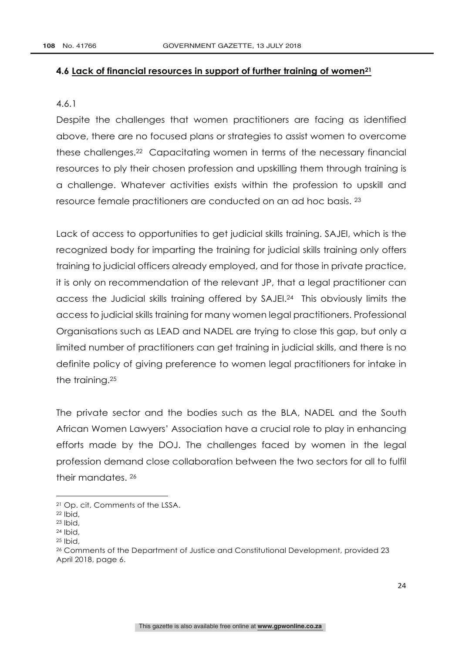#### **4.6 Lack of financial resources in support of further training of women21**

#### 4.6.1

Despite the challenges that women practitioners are facing as identified above, there are no focused plans or strategies to assist women to overcome these challenges.22 Capacitating women in terms of the necessary financial resources to ply their chosen profession and upskilling them through training is a challenge. Whatever activities exists within the profession to upskill and resource female practitioners are conducted on an ad hoc basis. 23

Lack of access to opportunities to get judicial skills training. SAJEI, which is the recognized body for imparting the training for judicial skills training only offers training to judicial officers already employed, and for those in private practice, it is only on recommendation of the relevant JP, that a legal practitioner can access the Judicial skills training offered by SAJEI.24 This obviously limits the access to judicial skills training for many women legal practitioners. Professional Organisations such as LEAD and NADEL are trying to close this gap, but only a limited number of practitioners can get training in judicial skills, and there is no definite policy of giving preference to women legal practitioners for intake in the training.25

The private sector and the bodies such as the BLA, NADEL and the South African Women Lawyers' Association have a crucial role to play in enhancing efforts made by the DOJ. The challenges faced by women in the legal profession demand close collaboration between the two sectors for all to fulfil their mandates. 26

<u> Andrew Maria (1989)</u>

<sup>21</sup> Op. cit, Comments of the LSSA.

<sup>22</sup> Ibid,

<sup>23</sup> Ibid,

<sup>24</sup> Ibid,

 $25$  Ibid,

<sup>26</sup> Comments of the Department of Justice and Constitutional Development, provided 23 April 2018, page 6.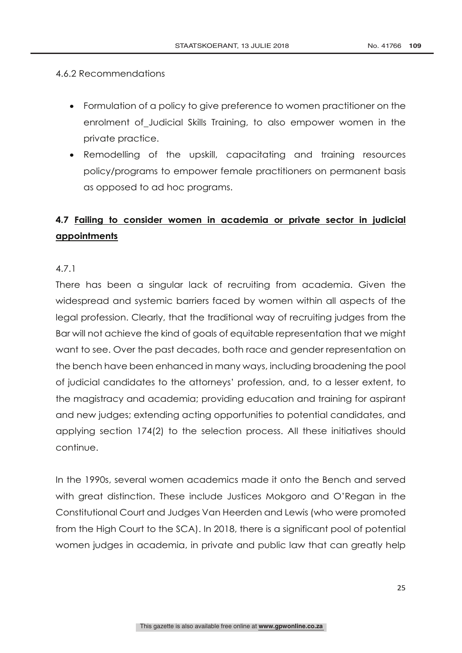#### 4.6.2 Recommendations

- Formulation of a policy to give preference to women practitioner on the enrolment of Judicial Skills Training, to also empower women in the private practice.
- Remodelling of the upskill, capacitating and training resources policy/programs to empower female practitioners on permanent basis as opposed to ad hoc programs.

# **4.7 Failing to consider women in academia or private sector in judicial appointments**

## 4.7.1

There has been a singular lack of recruiting from academia. Given the widespread and systemic barriers faced by women within all aspects of the legal profession. Clearly, that the traditional way of recruiting judges from the Bar will not achieve the kind of goals of equitable representation that we might want to see. Over the past decades, both race and gender representation on the bench have been enhanced in many ways, including broadening the pool of judicial candidates to the attorneys' profession, and, to a lesser extent, to the magistracy and academia; providing education and training for aspirant and new judges; extending acting opportunities to potential candidates, and applying section 174(2) to the selection process. All these initiatives should continue.

In the 1990s, several women academics made it onto the Bench and served with great distinction. These include Justices Mokgoro and O'Regan in the Constitutional Court and Judges Van Heerden and Lewis (who were promoted from the High Court to the SCA). In 2018, there is a significant pool of potential women judges in academia, in private and public law that can greatly help